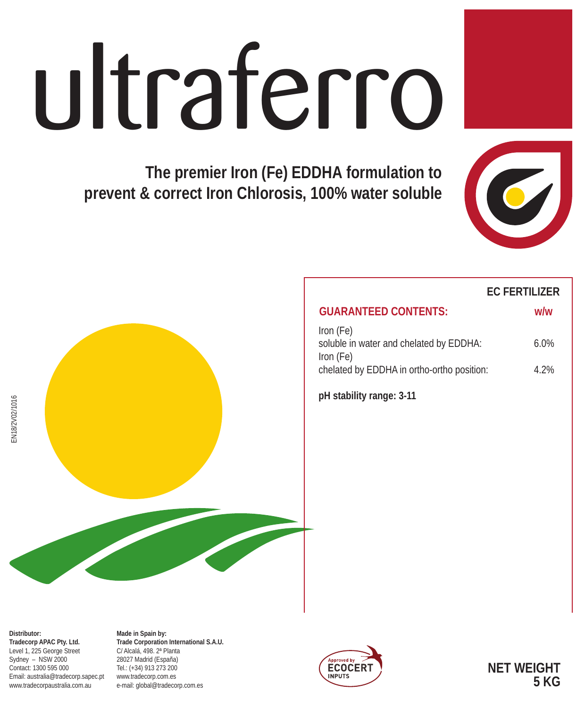## ultraferro

**The premier Iron (Fe) EDDHA formulation to prevent & correct Iron Chlorosis, 100% water soluble**



# chelated by EDDHA in ortho-ortho position: 4.2%

#### **EC FERTILIZER**

| <b>GUARANTEED CONTENTS:</b>                                       | w/w     |
|-------------------------------------------------------------------|---------|
| Iron (Fe)<br>soluble in water and chelated by EDDHA:<br>Iron (Fe) | $6.0\%$ |

**pH stability range: 3-11**

EN18/2V02/1016 EN18/2V02/1016

**Distributor: Tradecorp APAC Pty. Ltd.** Level 1, 225 George Street Sydney – NSW 2000 Contact: 1300 595 000 Email: australia@tradecorp.sapec.pt www.tradecorpaustralia.com.au

**Made in Spain by: Trade Corporation International S.A.U.** C/ Alcalá, 498. 2ª Planta 28027 Madrid (España) Tel.: (+34) 913 273 200 www.tradecorp.com.es e-mail: global@tradecorp.com.es